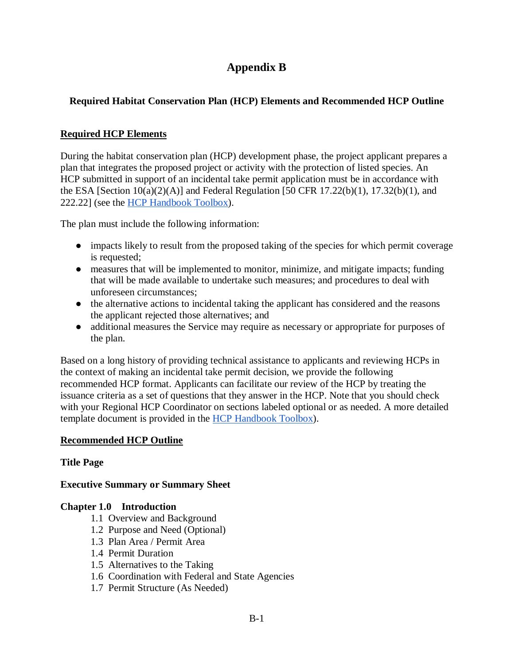# **Appendix B**

## **Required Habitat Conservation Plan (HCP) Elements and Recommended HCP Outline**

## **Required HCP Elements**

During the habitat conservation plan (HCP) development phase, the project applicant prepares a plan that integrates the proposed project or activity with the protection of listed species. An HCP submitted in support of an incidental take permit application must be in accordance with the ESA [Section  $10(a)(2)(A)$ ] and Federal Regulation [50 CFR 17.22(b)(1), 17.32(b)(1), and 222.22] (see the **HCP** Handbook Toolbox).

The plan must include the following information:

- impacts likely to result from the proposed taking of the species for which permit coverage is requested;
- measures that will be implemented to monitor, minimize, and mitigate impacts; funding that will be made available to undertake such measures; and procedures to deal with unforeseen circumstances;
- the alternative actions to incidental taking the applicant has considered and the reasons the applicant rejected those alternatives; and
- additional measures the Service may require as necessary or appropriate for purposes of the plan.

Based on a long history of providing technical assistance to applicants and reviewing HCPs in the context of making an incidental take permit decision, we provide the following recommended HCP format. Applicants can facilitate our review of the HCP by treating the issuance criteria as a set of questions that they answer in the HCP. Note that you should check with your Regional HCP Coordinator on sections labeled optional or as needed. A more detailed template document is provided in the [HCP Handbook Toolbox\)](https://www.fws.gov/endangered/what-we-do/hcp-handbook-toolbox.html).

## **Recommended HCP Outline**

## **Title Page**

**Executive Summary or Summary Sheet**

## **Chapter 1.0 Introduction**

- 1.1 Overview and Background
- 1.2 Purpose and Need (Optional)
- 1.3 Plan Area / Permit Area
- 1.4 Permit Duration
- 1.5 Alternatives to the Taking
- 1.6 Coordination with Federal and State Agencies
- 1.7 Permit Structure (As Needed)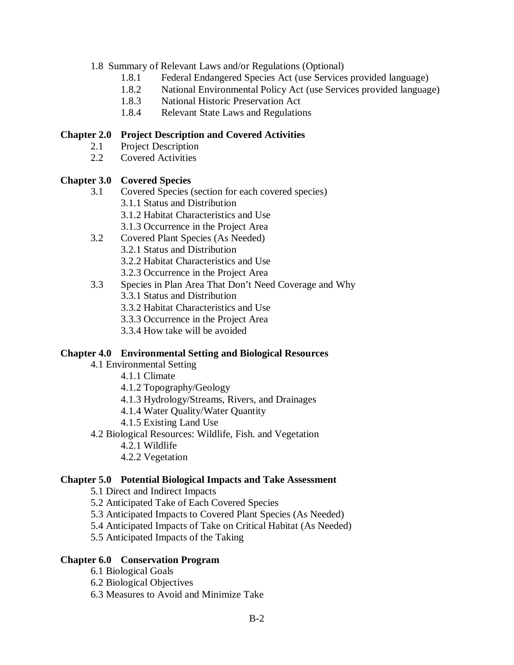### 1.8 Summary of Relevant Laws and/or Regulations (Optional)

- 1.8.1 Federal Endangered Species Act (use Services provided language)
- 1.8.2 National Environmental Policy Act (use Services provided language)
- 1.8.3 National Historic Preservation Act
- 1.8.4 Relevant State Laws and Regulations

### **Chapter 2.0 Project Description and Covered Activities**

- 2.1 Project Description
- 2.2 Covered Activities

## **Chapter 3.0 Covered Species**

- 3.1 Covered Species (section for each covered species)
	- 3.1.1 Status and Distribution
	- 3.1.2 Habitat Characteristics and Use
	- 3.1.3 Occurrence in the Project Area
- 3.2 Covered Plant Species (As Needed)
	- 3.2.1 Status and Distribution
	- 3.2.2 Habitat Characteristics and Use
	- 3.2.3 Occurrence in the Project Area
- 3.3 Species in Plan Area That Don't Need Coverage and Why
	- 3.3.1 Status and Distribution
	- 3.3.2 Habitat Characteristics and Use
	- 3.3.3 Occurrence in the Project Area
	- 3.3.4 How take will be avoided

#### **Chapter 4.0 Environmental Setting and Biological Resources**

- 4.1 Environmental Setting
	- 4.1.1 Climate
	- 4.1.2 Topography/Geology
	- 4.1.3 Hydrology/Streams, Rivers, and Drainages
	- 4.1.4 Water Quality/Water Quantity
	- 4.1.5 Existing Land Use
- 4.2 Biological Resources: Wildlife, Fish. and Vegetation
	- 4.2.1 Wildlife
	- 4.2.2 Vegetation

#### **Chapter 5.0 Potential Biological Impacts and Take Assessment**

- 5.1 Direct and Indirect Impacts
- 5.2 Anticipated Take of Each Covered Species
- 5.3 Anticipated Impacts to Covered Plant Species (As Needed)
- 5.4 Anticipated Impacts of Take on Critical Habitat (As Needed)
- 5.5 Anticipated Impacts of the Taking

#### **Chapter 6.0 Conservation Program**

- 6.1 Biological Goals
- 6.2 Biological Objectives
- 6.3 Measures to Avoid and Minimize Take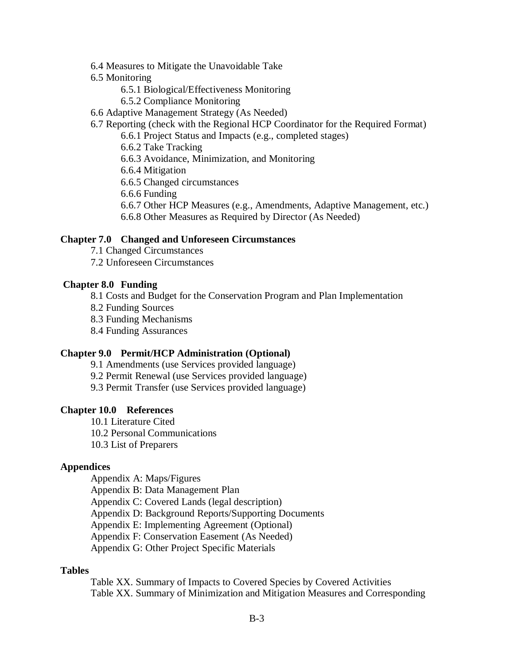- 6.4 Measures to Mitigate the Unavoidable Take
- 6.5 Monitoring
	- 6.5.1 Biological/Effectiveness Monitoring
	- 6.5.2 Compliance Monitoring
- 6.6 Adaptive Management Strategy (As Needed)
- 6.7 Reporting (check with the Regional HCP Coordinator for the Required Format)
	- 6.6.1 Project Status and Impacts (e.g., completed stages)
	- 6.6.2 Take Tracking
	- 6.6.3 Avoidance, Minimization, and Monitoring
	- 6.6.4 Mitigation

6.6.5 Changed circumstances

- 6.6.6 Funding
- 6.6.7 Other HCP Measures (e.g., Amendments, Adaptive Management, etc.)
- 6.6.8 Other Measures as Required by Director (As Needed)

#### **Chapter 7.0 Changed and Unforeseen Circumstances**

- 7.1 Changed Circumstances
- 7.2 Unforeseen Circumstances

#### **Chapter 8.0 Funding**

8.1 Costs and Budget for the Conservation Program and Plan Implementation

- 8.2 Funding Sources
- 8.3 Funding Mechanisms
- 8.4 Funding Assurances

#### **Chapter 9.0 Permit/HCP Administration (Optional)**

- 9.1 Amendments (use Services provided language)
- 9.2 Permit Renewal (use Services provided language)
- 9.3 Permit Transfer (use Services provided language)

#### **Chapter 10.0 References**

- 10.1 Literature Cited
- 10.2 Personal Communications
- 10.3 List of Preparers

#### **Appendices**

Appendix A: Maps/Figures

Appendix B: Data Management Plan

Appendix C: Covered Lands (legal description)

Appendix D: Background Reports/Supporting Documents

Appendix E: Implementing Agreement (Optional)

Appendix F: Conservation Easement (As Needed)

Appendix G: Other Project Specific Materials

#### **Tables**

Table XX. Summary of Impacts to Covered Species by Covered Activities Table XX. Summary of Minimization and Mitigation Measures and Corresponding